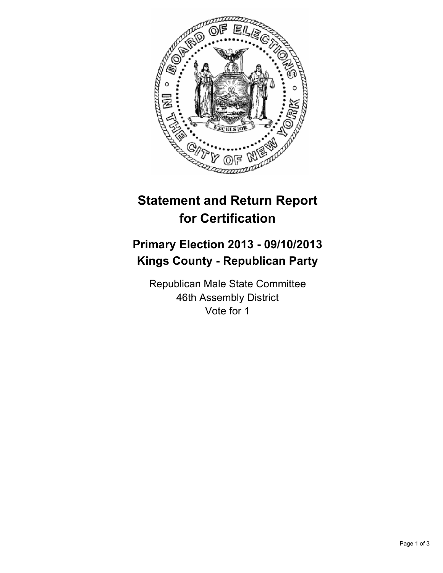

## **Statement and Return Report for Certification**

## **Primary Election 2013 - 09/10/2013 Kings County - Republican Party**

Republican Male State Committee 46th Assembly District Vote for 1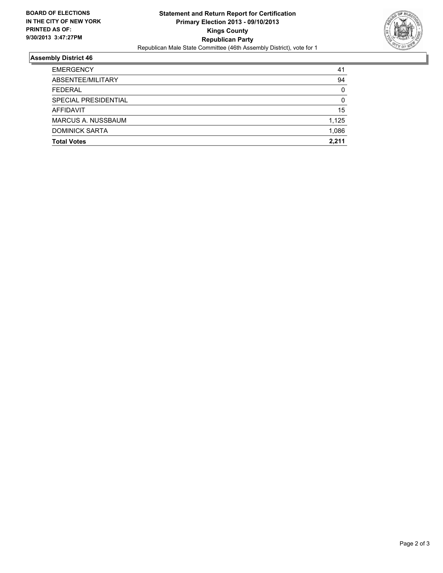

## **Assembly District 46**

| <b>Total Votes</b>    | 2.211    |
|-----------------------|----------|
| <b>DOMINICK SARTA</b> | 1.086    |
| MARCUS A. NUSSBAUM    | 1,125    |
| <b>AFFIDAVIT</b>      | 15       |
| SPECIAL PRESIDENTIAL  | 0        |
| <b>FEDERAL</b>        | $\Omega$ |
| ABSENTEE/MILITARY     | 94       |
| <b>EMERGENCY</b>      | 41       |